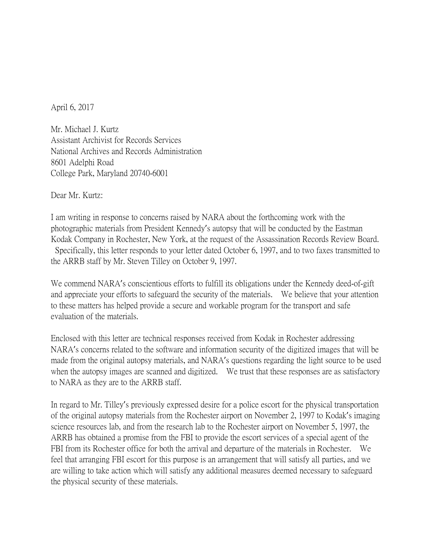April 6, 2017

Mr. Michael J. Kurtz Assistant Archivist for Records Services National Archives and Records Administration 8601 Adelphi Road College Park, Maryland 20740-6001

Dear Mr. Kurtz:

I am writing in response to concerns raised by NARA about the forthcoming work with the photographic materials from President Kennedy's autopsy that will be conducted by the Eastman Kodak Company in Rochester, New York, at the request of the Assassination Records Review Board. Specifically, this letter responds to your letter dated October 6, 1997, and to two faxes transmitted to the ARRB staff by Mr. Steven Tilley on October 9, 1997.

We commend NARA's conscientious efforts to fulfill its obligations under the Kennedy deed-of-gift and appreciate your efforts to safeguard the security of the materials. We believe that your attention to these matters has helped provide a secure and workable program for the transport and safe evaluation of the materials.

Enclosed with this letter are technical responses received from Kodak in Rochester addressing NARA's concerns related to the software and information security of the digitized images that will be made from the original autopsy materials, and NARA's questions regarding the light source to be used when the autopsy images are scanned and digitized. We trust that these responses are as satisfactory to NARA as they are to the ARRB staff.

In regard to Mr. Tilley's previously expressed desire for a police escort for the physical transportation of the original autopsy materials from the Rochester airport on November 2, 1997 to Kodak's imaging science resources lab, and from the research lab to the Rochester airport on November 5, 1997, the ARRB has obtained a promise from the FBI to provide the escort services of a special agent of the FBI from its Rochester office for both the arrival and departure of the materials in Rochester. We feel that arranging FBI escort for this purpose is an arrangement that will satisfy all parties, and we are willing to take action which will satisfy any additional measures deemed necessary to safeguard the physical security of these materials.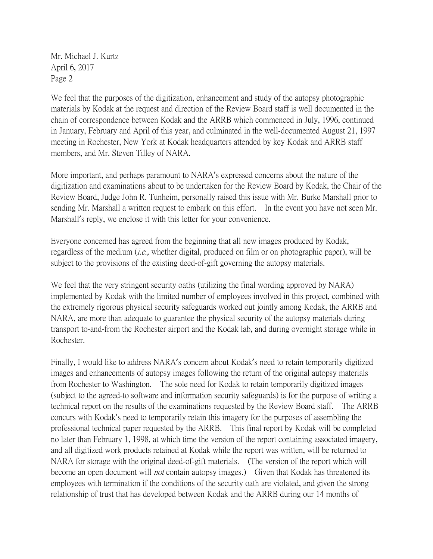Mr. Michael J. Kurtz April 6, 2017 Page 2

We feel that the purposes of the digitization, enhancement and study of the autopsy photographic materials by Kodak at the request and direction of the Review Board staff is well documented in the chain of correspondence between Kodak and the ARRB which commenced in July, 1996, continued in January, February and April of this year, and culminated in the well-documented August 21, 1997 meeting in Rochester, New York at Kodak headquarters attended by key Kodak and ARRB staff members, and Mr. Steven Tilley of NARA.

More important, and perhaps paramount to NARA's expressed concerns about the nature of the digitization and examinations about to be undertaken for the Review Board by Kodak, the Chair of the Review Board, Judge John R. Tunheim, personally raised this issue with Mr. Burke Marshall prior to sending Mr. Marshall a written request to embark on this effort. In the event you have not seen Mr. Marshall's reply, we enclose it with this letter for your convenience.

Everyone concerned has agreed from the beginning that all new images produced by Kodak, regardless of the medium  $(i.e.,$  whether digital, produced on film or on photographic paper), will be subject to the provisions of the existing deed-of-gift governing the autopsy materials.

We feel that the very stringent security oaths (utilizing the final wording approved by NARA) implemented by Kodak with the limited number of employees involved in this project, combined with the extremely rigorous physical security safeguards worked out jointly among Kodak, the ARRB and NARA, are more than adequate to guarantee the physical security of the autopsy materials during transport to-and-from the Rochester airport and the Kodak lab, and during overnight storage while in Rochester.

Finally, I would like to address NARA's concern about Kodak's need to retain temporarily digitized images and enhancements of autopsy images following the return of the original autopsy materials from Rochester to Washington. The sole need for Kodak to retain temporarily digitized images (subject to the agreed-to software and information security safeguards) is for the purpose of writing a technical report on the results of the examinations requested by the Review Board staff. The ARRB concurs with Kodak's need to temporarily retain this imagery for the purposes of assembling the professional technical paper requested by the ARRB. This final report by Kodak will be completed no later than February 1, 1998, at which time the version of the report containing associated imagery, and all digitized work products retained at Kodak while the report was written, will be returned to NARA for storage with the original deed-of-gift materials. (The version of the report which will become an open document will *not* contain autopsy images.) Given that Kodak has threatened its employees with termination if the conditions of the security oath are violated, and given the strong relationship of trust that has developed between Kodak and the ARRB during our 14 months of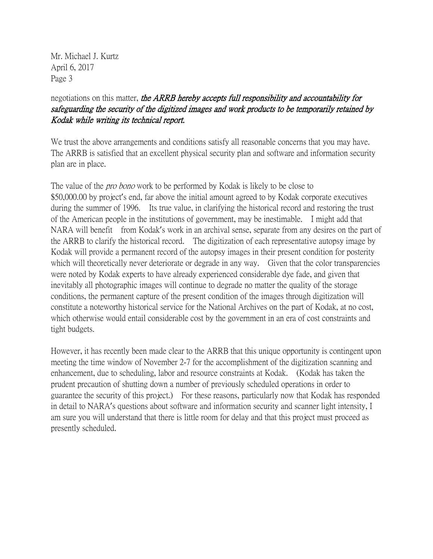Mr. Michael J. Kurtz April 6, 2017 Page 3

## negotiations on this matter, the ARRB hereby accepts full responsibility and accountability for safeguarding the security of the digitized images and work products to be temporarily retained by Kodak while writing its technical report.

We trust the above arrangements and conditions satisfy all reasonable concerns that you may have. The ARRB is satisfied that an excellent physical security plan and software and information security plan are in place.

The value of the *pro bono* work to be performed by Kodak is likely to be close to \$50,000.00 by project's end, far above the initial amount agreed to by Kodak corporate executives during the summer of 1996. Its true value, in clarifying the historical record and restoring the trust of the American people in the institutions of government, may be inestimable. I might add that NARA will benefit from Kodak's work in an archival sense, separate from any desires on the part of the ARRB to clarify the historical record. The digitization of each representative autopsy image by Kodak will provide a permanent record of the autopsy images in their present condition for posterity which will theoretically never deteriorate or degrade in any way. Given that the color transparencies were noted by Kodak experts to have already experienced considerable dye fade, and given that inevitably all photographic images will continue to degrade no matter the quality of the storage conditions, the permanent capture of the present condition of the images through digitization will constitute a noteworthy historical service for the National Archives on the part of Kodak, at no cost, which otherwise would entail considerable cost by the government in an era of cost constraints and tight budgets.

However, it has recently been made clear to the ARRB that this unique opportunity is contingent upon meeting the time window of November 2-7 for the accomplishment of the digitization scanning and enhancement, due to scheduling, labor and resource constraints at Kodak. (Kodak has taken the prudent precaution of shutting down a number of previously scheduled operations in order to guarantee the security of this project.) For these reasons, particularly now that Kodak has responded in detail to NARA's questions about software and information security and scanner light intensity, I am sure you will understand that there is little room for delay and that this project must proceed as presently scheduled.